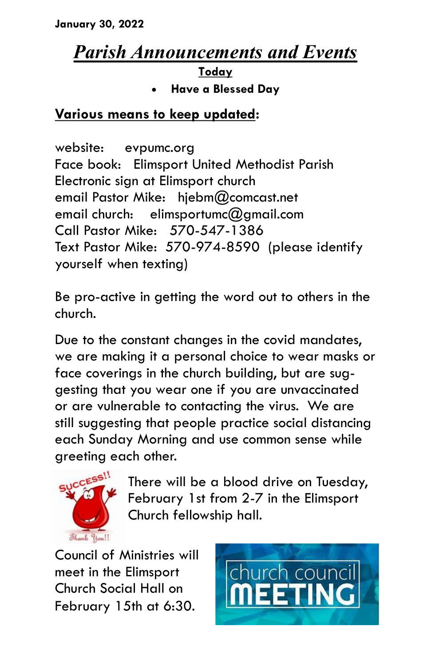# *Parish Announcements and Events*

## **Today**

**Have a Blessed Day**

### **Various means to keep updated:**

website: evpumc.org Face book: Elimsport United Methodist Parish Electronic sign at Elimsport church email Pastor Mike: hjebm@comcast.net email church: elimsportumc@gmail.com Call Pastor Mike: 570-547-1386 Text Pastor Mike: 570-974-8590 (please identify yourself when texting)

Be pro-active in getting the word out to others in the church.

Due to the constant changes in the covid mandates, we are making it a personal choice to wear masks or face coverings in the church building, but are suggesting that you wear one if you are unvaccinated or are vulnerable to contacting the virus. We are still suggesting that people practice social distancing each Sunday Morning and use common sense while greeting each other.



There will be a blood drive on Tuesday, February 1st from 2-7 in the Elimsport Church fellowship hall.

Council of Ministries will meet in the Elimsport Church Social Hall on February 15th at 6:30.

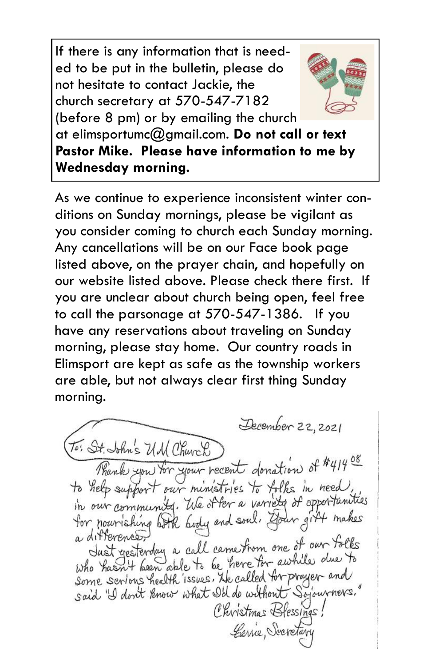If there is any information that is needed to be put in the bulletin, please do not hesitate to contact Jackie, the church secretary at 570-547-7182 (before 8 pm) or by emailing the church



at elimsportumc@gmail.com. **Do not call or text Pastor Mike. Please have information to me by Wednesday morning.**

As we continue to experience inconsistent winter conditions on Sunday mornings, please be vigilant as you consider coming to church each Sunday morning. Any cancellations will be on our Face book page listed above, on the prayer chain, and hopefully on our website listed above. Please check there first. If you are unclear about church being open, feel free to call the parsonage at 570-547-1386. If you have any reservations about traveling on Sunday morning, please stay home. Our country roads in Elimsport are kept as safe as the township workers are able, but not always clear first thing Sunday morning.

December 22, 2021 To: St. John's UM Church Thank you for your recent donation of #41408 to help support our ministries to folks in need, in our community. We offer a variety of opportunities for nourishing both body and soul. Gour gift makes a difference, differences.<br>Just yesterday a call came from one of our folks Who hasn't been able to be here for awhile due to Some serious health issues. He called for prayer and said "I don't know what I'll do without Sojourners." Christmas Blessings! Carrie, Secretary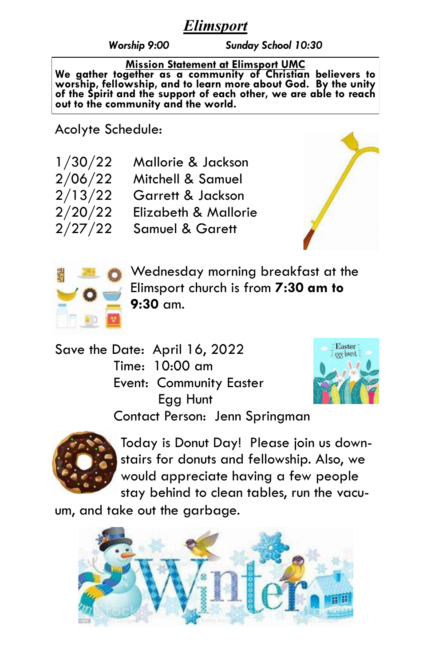### *Elimsport*

*Worship 9:00 Sunday School 10:30*

**Mission Statement at Elimsport UMC We gather together as a community of Christian believers to worship, fellowship, and to learn more about God. By the unity of the Spirit and the support of each other, we are able to reach out to the community and the world.**

Acolyte Schedule:

| 1/30/22 | Mallorie & Jackson         |
|---------|----------------------------|
| 2/06/22 | Mitchell & Samuel          |
| 2/13/22 | Garrett & Jackson          |
| 2/20/22 | Elizabeth & Mallorie       |
| 2/27/22 | <b>Samuel &amp; Garett</b> |





Wednesday morning breakfast at the Elimsport church is from **7:30 am to 9:30** am.

Save the Date: April 16, 2022 Time: 10:00 am Event: Community Easter Egg Hunt



Contact Person: Jenn Springman



Today is Donut Day! Please join us downstairs for donuts and fellowship. Also, we would appreciate having a few people stay behind to clean tables, run the vacu-

um, and take out the garbage.